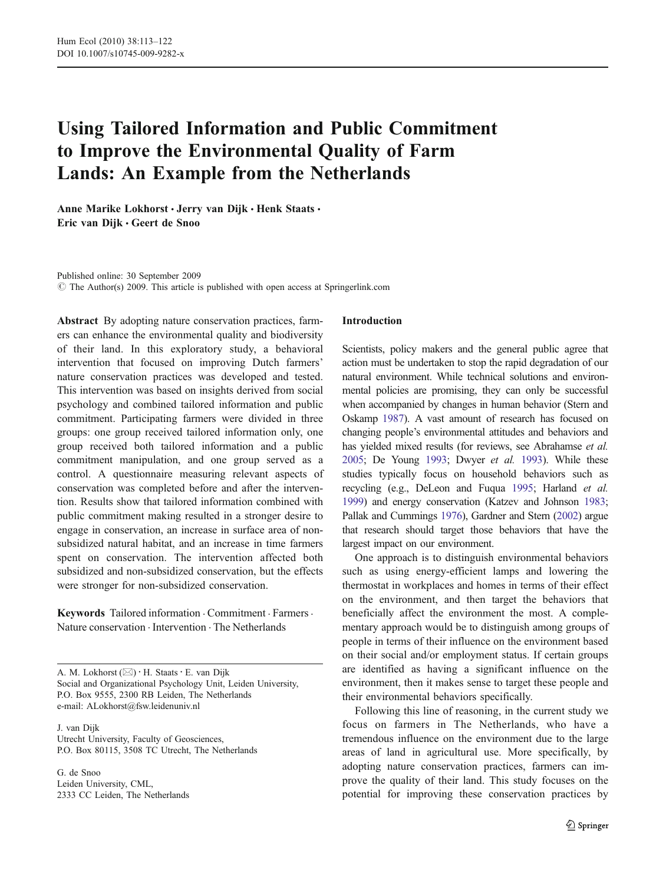# Using Tailored Information and Public Commitment to Improve the Environmental Quality of Farm Lands: An Example from the Netherlands

Anne Marike Lokhorst · Jerry van Dijk · Henk Staats · Eric van Dijk & Geert de Snoo

Published online: 30 September 2009  $\circ$  The Author(s) 2009. This article is published with open access at Springerlink.com

Abstract By adopting nature conservation practices, farmers can enhance the environmental quality and biodiversity of their land. In this exploratory study, a behavioral intervention that focused on improving Dutch farmers' nature conservation practices was developed and tested. This intervention was based on insights derived from social psychology and combined tailored information and public commitment. Participating farmers were divided in three groups: one group received tailored information only, one group received both tailored information and a public commitment manipulation, and one group served as a control. A questionnaire measuring relevant aspects of conservation was completed before and after the intervention. Results show that tailored information combined with public commitment making resulted in a stronger desire to engage in conservation, an increase in surface area of nonsubsidized natural habitat, and an increase in time farmers spent on conservation. The intervention affected both subsidized and non-subsidized conservation, but the effects were stronger for non-subsidized conservation.

Keywords Tailored information . Commitment . Farmers. Nature conservation . Intervention . The Netherlands

A. M. Lokhorst (*\**) : H. Staats: E. van Dijk Social and Organizational Psychology Unit, Leiden University, P.O. Box 9555, 2300 RB Leiden, The Netherlands e-mail: ALokhorst@fsw.leidenuniv.nl

J. van Dijk Utrecht University, Faculty of Geosciences, P.O. Box 80115, 3508 TC Utrecht, The Netherlands

G. de Snoo Leiden University, CML, 2333 CC Leiden, The Netherlands

#### Introduction

Scientists, policy makers and the general public agree that action must be undertaken to stop the rapid degradation of our natural environment. While technical solutions and environmental policies are promising, they can only be successful when accompanied by changes in human behavior (Stern and Oskamp [1987](#page-9-0)). A vast amount of research has focused on changing people's environmental attitudes and behaviors and has yielded mixed results (for reviews, see Abrahamse et al. [2005](#page-8-0); De Young [1993;](#page-8-0) Dwyer et al. [1993](#page-8-0)). While these studies typically focus on household behaviors such as recycling (e.g., DeLeon and Fuqua [1995](#page-8-0); Harland et al. [1999](#page-8-0)) and energy conservation (Katzev and Johnson [1983;](#page-8-0) Pallak and Cummings [1976](#page-9-0)), Gardner and Stern [\(2002](#page-8-0)) argue that research should target those behaviors that have the largest impact on our environment.

One approach is to distinguish environmental behaviors such as using energy-efficient lamps and lowering the thermostat in workplaces and homes in terms of their effect on the environment, and then target the behaviors that beneficially affect the environment the most. A complementary approach would be to distinguish among groups of people in terms of their influence on the environment based on their social and/or employment status. If certain groups are identified as having a significant influence on the environment, then it makes sense to target these people and their environmental behaviors specifically.

Following this line of reasoning, in the current study we focus on farmers in The Netherlands, who have a tremendous influence on the environment due to the large areas of land in agricultural use. More specifically, by adopting nature conservation practices, farmers can improve the quality of their land. This study focuses on the potential for improving these conservation practices by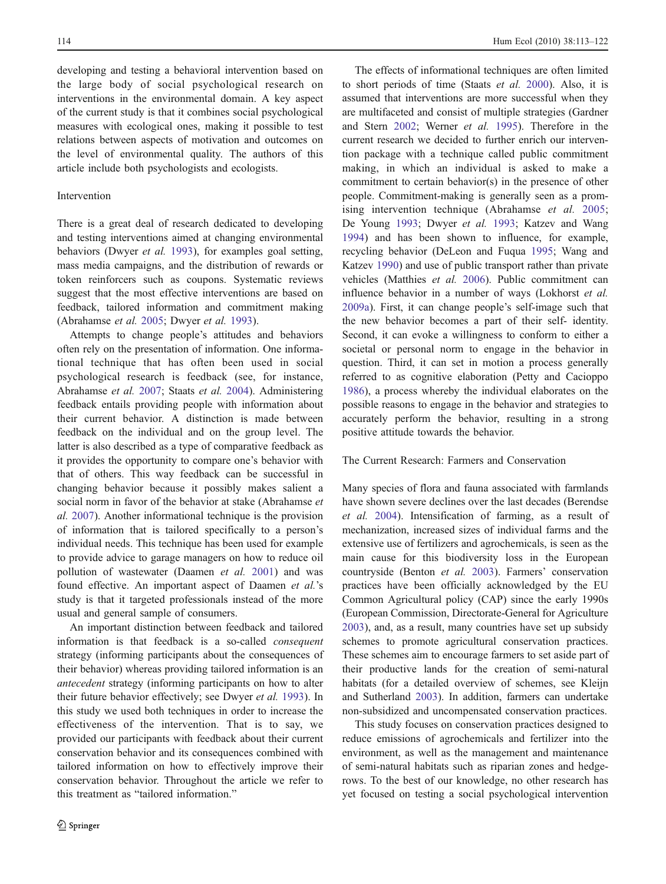developing and testing a behavioral intervention based on the large body of social psychological research on interventions in the environmental domain. A key aspect of the current study is that it combines social psychological measures with ecological ones, making it possible to test relations between aspects of motivation and outcomes on the level of environmental quality. The authors of this article include both psychologists and ecologists.

## Intervention

There is a great deal of research dedicated to developing and testing interventions aimed at changing environmental behaviors (Dwyer et al. [1993\)](#page-8-0), for examples goal setting, mass media campaigns, and the distribution of rewards or token reinforcers such as coupons. Systematic reviews suggest that the most effective interventions are based on feedback, tailored information and commitment making (Abrahamse et al. [2005](#page-8-0); Dwyer et al. [1993](#page-8-0)).

Attempts to change people's attitudes and behaviors often rely on the presentation of information. One informational technique that has often been used in social psychological research is feedback (see, for instance, Abrahamse et al. [2007](#page-8-0); Staats et al. [2004\)](#page-9-0). Administering feedback entails providing people with information about their current behavior. A distinction is made between feedback on the individual and on the group level. The latter is also described as a type of comparative feedback as it provides the opportunity to compare one's behavior with that of others. This way feedback can be successful in changing behavior because it possibly makes salient a social norm in favor of the behavior at stake (Abrahamse et al. [2007](#page-8-0)). Another informational technique is the provision of information that is tailored specifically to a person's individual needs. This technique has been used for example to provide advice to garage managers on how to reduce oil pollution of wastewater (Daamen et al. [2001](#page-8-0)) and was found effective. An important aspect of Daamen et al.'s study is that it targeted professionals instead of the more usual and general sample of consumers.

An important distinction between feedback and tailored information is that feedback is a so-called consequent strategy (informing participants about the consequences of their behavior) whereas providing tailored information is an antecedent strategy (informing participants on how to alter their future behavior effectively; see Dwyer et al. [1993](#page-8-0)). In this study we used both techniques in order to increase the effectiveness of the intervention. That is to say, we provided our participants with feedback about their current conservation behavior and its consequences combined with tailored information on how to effectively improve their conservation behavior. Throughout the article we refer to this treatment as "tailored information."

The effects of informational techniques are often limited to short periods of time (Staats et al. [2000\)](#page-9-0). Also, it is assumed that interventions are more successful when they are multifaceted and consist of multiple strategies (Gardner and Stern [2002](#page-8-0); Werner et al. [1995](#page-9-0)). Therefore in the current research we decided to further enrich our intervention package with a technique called public commitment making, in which an individual is asked to make a commitment to certain behavior(s) in the presence of other people. Commitment-making is generally seen as a promising intervention technique (Abrahamse et al. [2005;](#page-8-0) De Young [1993](#page-8-0); Dwyer et al. [1993;](#page-8-0) Katzev and Wang [1994](#page-8-0)) and has been shown to influence, for example, recycling behavior (DeLeon and Fuqua [1995;](#page-8-0) Wang and Katzev [1990\)](#page-9-0) and use of public transport rather than private vehicles (Matthies et al. [2006](#page-9-0)). Public commitment can influence behavior in a number of ways (Lokhorst et al. [2009a](#page-8-0)). First, it can change people's self-image such that the new behavior becomes a part of their self- identity. Second, it can evoke a willingness to conform to either a societal or personal norm to engage in the behavior in question. Third, it can set in motion a process generally referred to as cognitive elaboration (Petty and Cacioppo [1986](#page-9-0)), a process whereby the individual elaborates on the possible reasons to engage in the behavior and strategies to accurately perform the behavior, resulting in a strong positive attitude towards the behavior.

#### The Current Research: Farmers and Conservation

Many species of flora and fauna associated with farmlands have shown severe declines over the last decades (Berendse et al. [2004](#page-8-0)). Intensification of farming, as a result of mechanization, increased sizes of individual farms and the extensive use of fertilizers and agrochemicals, is seen as the main cause for this biodiversity loss in the European countryside (Benton et al. [2003](#page-8-0)). Farmers' conservation practices have been officially acknowledged by the EU Common Agricultural policy (CAP) since the early 1990s (European Commission, Directorate-General for Agriculture [2003](#page-8-0)), and, as a result, many countries have set up subsidy schemes to promote agricultural conservation practices. These schemes aim to encourage farmers to set aside part of their productive lands for the creation of semi-natural habitats (for a detailed overview of schemes, see Kleijn and Sutherland [2003\)](#page-8-0). In addition, farmers can undertake non-subsidized and uncompensated conservation practices.

This study focuses on conservation practices designed to reduce emissions of agrochemicals and fertilizer into the environment, as well as the management and maintenance of semi-natural habitats such as riparian zones and hedgerows. To the best of our knowledge, no other research has yet focused on testing a social psychological intervention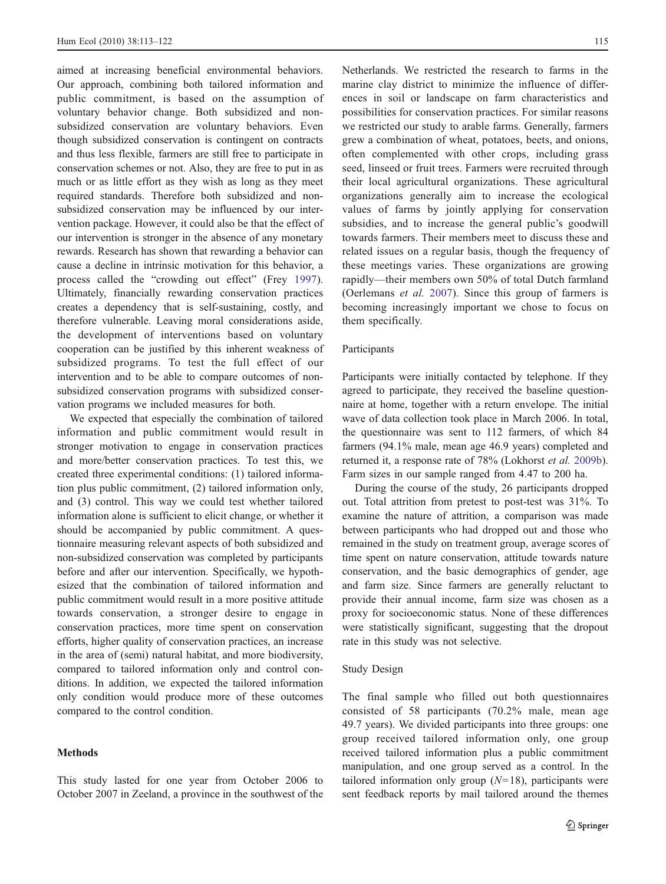aimed at increasing beneficial environmental behaviors. Our approach, combining both tailored information and public commitment, is based on the assumption of voluntary behavior change. Both subsidized and nonsubsidized conservation are voluntary behaviors. Even though subsidized conservation is contingent on contracts and thus less flexible, farmers are still free to participate in conservation schemes or not. Also, they are free to put in as much or as little effort as they wish as long as they meet required standards. Therefore both subsidized and nonsubsidized conservation may be influenced by our intervention package. However, it could also be that the effect of our intervention is stronger in the absence of any monetary rewards. Research has shown that rewarding a behavior can cause a decline in intrinsic motivation for this behavior, a process called the "crowding out effect" (Frey [1997](#page-8-0)). Ultimately, financially rewarding conservation practices creates a dependency that is self-sustaining, costly, and therefore vulnerable. Leaving moral considerations aside, the development of interventions based on voluntary cooperation can be justified by this inherent weakness of subsidized programs. To test the full effect of our intervention and to be able to compare outcomes of nonsubsidized conservation programs with subsidized conservation programs we included measures for both.

We expected that especially the combination of tailored information and public commitment would result in stronger motivation to engage in conservation practices and more/better conservation practices. To test this, we created three experimental conditions: (1) tailored information plus public commitment, (2) tailored information only, and (3) control. This way we could test whether tailored information alone is sufficient to elicit change, or whether it should be accompanied by public commitment. A questionnaire measuring relevant aspects of both subsidized and non-subsidized conservation was completed by participants before and after our intervention. Specifically, we hypothesized that the combination of tailored information and public commitment would result in a more positive attitude towards conservation, a stronger desire to engage in conservation practices, more time spent on conservation efforts, higher quality of conservation practices, an increase in the area of (semi) natural habitat, and more biodiversity, compared to tailored information only and control conditions. In addition, we expected the tailored information only condition would produce more of these outcomes compared to the control condition.

## Methods

This study lasted for one year from October 2006 to October 2007 in Zeeland, a province in the southwest of the Netherlands. We restricted the research to farms in the marine clay district to minimize the influence of differences in soil or landscape on farm characteristics and possibilities for conservation practices. For similar reasons we restricted our study to arable farms. Generally, farmers grew a combination of wheat, potatoes, beets, and onions, often complemented with other crops, including grass seed, linseed or fruit trees. Farmers were recruited through their local agricultural organizations. These agricultural organizations generally aim to increase the ecological values of farms by jointly applying for conservation subsidies, and to increase the general public's goodwill towards farmers. Their members meet to discuss these and related issues on a regular basis, though the frequency of these meetings varies. These organizations are growing rapidly—their members own 50% of total Dutch farmland (Oerlemans et al. [2007\)](#page-9-0). Since this group of farmers is becoming increasingly important we chose to focus on them specifically.

#### Participants

Participants were initially contacted by telephone. If they agreed to participate, they received the baseline questionnaire at home, together with a return envelope. The initial wave of data collection took place in March 2006. In total, the questionnaire was sent to 112 farmers, of which 84 farmers (94.1% male, mean age 46.9 years) completed and returned it, a response rate of 78% (Lokhorst et al. [2009b\)](#page-9-0). Farm sizes in our sample ranged from 4.47 to 200 ha.

During the course of the study, 26 participants dropped out. Total attrition from pretest to post-test was 31%. To examine the nature of attrition, a comparison was made between participants who had dropped out and those who remained in the study on treatment group, average scores of time spent on nature conservation, attitude towards nature conservation, and the basic demographics of gender, age and farm size. Since farmers are generally reluctant to provide their annual income, farm size was chosen as a proxy for socioeconomic status. None of these differences were statistically significant, suggesting that the dropout rate in this study was not selective.

### Study Design

The final sample who filled out both questionnaires consisted of 58 participants (70.2% male, mean age 49.7 years). We divided participants into three groups: one group received tailored information only, one group received tailored information plus a public commitment manipulation, and one group served as a control. In the tailored information only group  $(N=18)$ , participants were sent feedback reports by mail tailored around the themes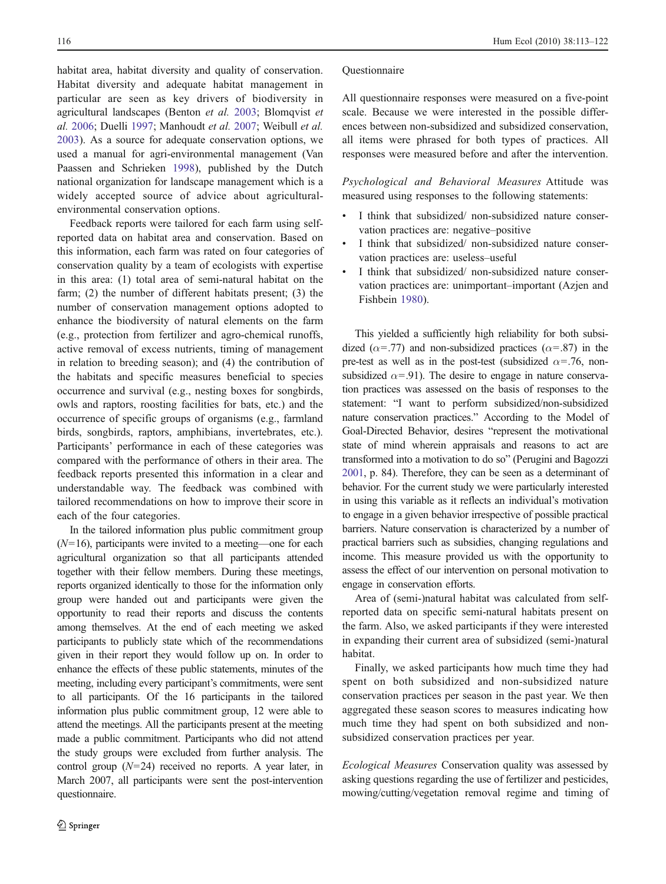habitat area, habitat diversity and quality of conservation. Habitat diversity and adequate habitat management in particular are seen as key drivers of biodiversity in agricultural landscapes (Benton et al. [2003;](#page-8-0) Blomqvist et al. [2006](#page-8-0); Duelli [1997](#page-8-0); Manhoudt et al. [2007](#page-9-0); Weibull et al. [2003\)](#page-9-0). As a source for adequate conservation options, we used a manual for agri-environmental management (Van Paassen and Schrieken [1998](#page-9-0)), published by the Dutch national organization for landscape management which is a widely accepted source of advice about agriculturalenvironmental conservation options.

Feedback reports were tailored for each farm using selfreported data on habitat area and conservation. Based on this information, each farm was rated on four categories of conservation quality by a team of ecologists with expertise in this area: (1) total area of semi-natural habitat on the farm; (2) the number of different habitats present; (3) the number of conservation management options adopted to enhance the biodiversity of natural elements on the farm (e.g., protection from fertilizer and agro-chemical runoffs, active removal of excess nutrients, timing of management in relation to breeding season); and (4) the contribution of the habitats and specific measures beneficial to species occurrence and survival (e.g., nesting boxes for songbirds, owls and raptors, roosting facilities for bats, etc.) and the occurrence of specific groups of organisms (e.g., farmland birds, songbirds, raptors, amphibians, invertebrates, etc.). Participants' performance in each of these categories was compared with the performance of others in their area. The feedback reports presented this information in a clear and understandable way. The feedback was combined with tailored recommendations on how to improve their score in each of the four categories.

In the tailored information plus public commitment group  $(N=16)$ , participants were invited to a meeting—one for each agricultural organization so that all participants attended together with their fellow members. During these meetings, reports organized identically to those for the information only group were handed out and participants were given the opportunity to read their reports and discuss the contents among themselves. At the end of each meeting we asked participants to publicly state which of the recommendations given in their report they would follow up on. In order to enhance the effects of these public statements, minutes of the meeting, including every participant's commitments, were sent to all participants. Of the 16 participants in the tailored information plus public commitment group, 12 were able to attend the meetings. All the participants present at the meeting made a public commitment. Participants who did not attend the study groups were excluded from further analysis. The control group  $(N=24)$  received no reports. A year later, in March 2007, all participants were sent the post-intervention questionnaire.

#### Questionnaire

All questionnaire responses were measured on a five-point scale. Because we were interested in the possible differences between non-subsidized and subsidized conservation, all items were phrased for both types of practices. All responses were measured before and after the intervention.

Psychological and Behavioral Measures Attitude was measured using responses to the following statements:

- & I think that subsidized/ non-subsidized nature conservation practices are: negative–positive
- I think that subsidized/ non-subsidized nature conservation practices are: useless–useful
- I think that subsidized/ non-subsidized nature conservation practices are: unimportant–important (Azjen and Fishbein [1980](#page-8-0)).

This yielded a sufficiently high reliability for both subsidized ( $\alpha$ =.77) and non-subsidized practices ( $\alpha$ =.87) in the pre-test as well as in the post-test (subsidized  $\alpha$ =.76, nonsubsidized  $\alpha$ =.91). The desire to engage in nature conservation practices was assessed on the basis of responses to the statement: "I want to perform subsidized/non-subsidized nature conservation practices." According to the Model of Goal-Directed Behavior, desires "represent the motivational state of mind wherein appraisals and reasons to act are transformed into a motivation to do so" (Perugini and Bagozzi [2001](#page-9-0), p. 84). Therefore, they can be seen as a determinant of behavior. For the current study we were particularly interested in using this variable as it reflects an individual's motivation to engage in a given behavior irrespective of possible practical barriers. Nature conservation is characterized by a number of practical barriers such as subsidies, changing regulations and income. This measure provided us with the opportunity to assess the effect of our intervention on personal motivation to engage in conservation efforts.

Area of (semi-)natural habitat was calculated from selfreported data on specific semi-natural habitats present on the farm. Also, we asked participants if they were interested in expanding their current area of subsidized (semi-)natural habitat.

Finally, we asked participants how much time they had spent on both subsidized and non-subsidized nature conservation practices per season in the past year. We then aggregated these season scores to measures indicating how much time they had spent on both subsidized and nonsubsidized conservation practices per year.

Ecological Measures Conservation quality was assessed by asking questions regarding the use of fertilizer and pesticides, mowing/cutting/vegetation removal regime and timing of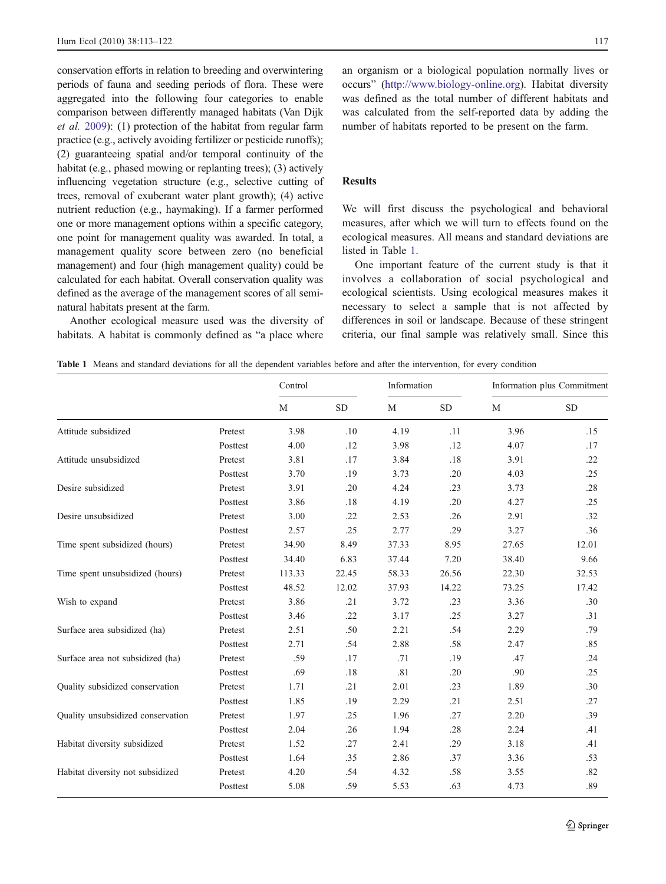<span id="page-4-0"></span>conservation efforts in relation to breeding and overwintering periods of fauna and seeding periods of flora. These were aggregated into the following four categories to enable comparison between differently managed habitats (Van Dijk et al. [2009](#page-9-0)): (1) protection of the habitat from regular farm practice (e.g., actively avoiding fertilizer or pesticide runoffs); (2) guaranteeing spatial and/or temporal continuity of the habitat (e.g., phased mowing or replanting trees); (3) actively influencing vegetation structure (e.g., selective cutting of trees, removal of exuberant water plant growth); (4) active nutrient reduction (e.g., haymaking). If a farmer performed one or more management options within a specific category, one point for management quality was awarded. In total, a management quality score between zero (no beneficial management) and four (high management quality) could be calculated for each habitat. Overall conservation quality was defined as the average of the management scores of all seminatural habitats present at the farm.

Another ecological measure used was the diversity of habitats. A habitat is commonly defined as "a place where an organism or a biological population normally lives or occurs" [\(http://www.biology-online.org](http://www.biology-online.org)). Habitat diversity was defined as the total number of different habitats and was calculated from the self-reported data by adding the number of habitats reported to be present on the farm.

## Results

We will first discuss the psychological and behavioral measures, after which we will turn to effects found on the ecological measures. All means and standard deviations are listed in Table 1.

One important feature of the current study is that it involves a collaboration of social psychological and ecological scientists. Using ecological measures makes it necessary to select a sample that is not affected by differences in soil or landscape. Because of these stringent criteria, our final sample was relatively small. Since this

|  |  |  |  |  |  |  |  |  |  |  |  | <b>Table 1</b> Means and standard deviations for all the dependent variables before and after the intervention, for every condition |  |  |  |
|--|--|--|--|--|--|--|--|--|--|--|--|-------------------------------------------------------------------------------------------------------------------------------------|--|--|--|
|--|--|--|--|--|--|--|--|--|--|--|--|-------------------------------------------------------------------------------------------------------------------------------------|--|--|--|

|                                   |          | Control |           | Information |           | Information plus Commitment |           |  |
|-----------------------------------|----------|---------|-----------|-------------|-----------|-----------------------------|-----------|--|
|                                   |          | M       | <b>SD</b> | M           | <b>SD</b> | M                           | <b>SD</b> |  |
| Attitude subsidized               | Pretest  | 3.98    | .10       | 4.19        | .11       | 3.96                        | .15       |  |
|                                   | Posttest | 4.00    | .12       | 3.98        | .12       | 4.07                        | .17       |  |
| Attitude unsubsidized             | Pretest  | 3.81    | .17       | 3.84        | .18       | 3.91                        | .22       |  |
|                                   | Posttest | 3.70    | .19       | 3.73        | .20       | 4.03                        | .25       |  |
| Desire subsidized                 | Pretest  | 3.91    | .20       | 4.24        | .23       | 3.73                        | .28       |  |
|                                   | Posttest | 3.86    | .18       | 4.19        | .20       | 4.27                        | .25       |  |
| Desire unsubsidized               | Pretest  | 3.00    | .22       | 2.53        | .26       | 2.91                        | .32       |  |
|                                   | Posttest | 2.57    | .25       | 2.77        | .29       | 3.27                        | .36       |  |
| Time spent subsidized (hours)     | Pretest  | 34.90   | 8.49      | 37.33       | 8.95      | 27.65                       | 12.01     |  |
|                                   | Posttest | 34.40   | 6.83      | 37.44       | 7.20      | 38.40                       | 9.66      |  |
| Time spent unsubsidized (hours)   | Pretest  | 113.33  | 22.45     | 58.33       | 26.56     | 22.30                       | 32.53     |  |
|                                   | Posttest | 48.52   | 12.02     | 37.93       | 14.22     | 73.25                       | 17.42     |  |
| Wish to expand                    | Pretest  | 3.86    | .21       | 3.72        | .23       | 3.36                        | .30       |  |
|                                   | Posttest | 3.46    | .22       | 3.17        | .25       | 3.27                        | .31       |  |
| Surface area subsidized (ha)      | Pretest  | 2.51    | .50       | 2.21        | .54       | 2.29                        | .79       |  |
|                                   | Posttest | 2.71    | .54       | 2.88        | .58       | 2.47                        | .85       |  |
| Surface area not subsidized (ha)  | Pretest  | .59     | .17       | .71         | .19       | .47                         | .24       |  |
|                                   | Posttest | .69     | .18       | .81         | .20       | .90                         | .25       |  |
| Quality subsidized conservation   | Pretest  | 1.71    | .21       | 2.01        | .23       | 1.89                        | .30       |  |
|                                   | Posttest | 1.85    | .19       | 2.29        | .21       | 2.51                        | .27       |  |
| Quality unsubsidized conservation | Pretest  | 1.97    | .25       | 1.96        | .27       | 2.20                        | .39       |  |
|                                   | Posttest | 2.04    | .26       | 1.94        | .28       | 2.24                        | .41       |  |
| Habitat diversity subsidized      | Pretest  | 1.52    | .27       | 2.41        | .29       | 3.18                        | .41       |  |
|                                   | Posttest | 1.64    | .35       | 2.86        | .37       | 3.36                        | .53       |  |
| Habitat diversity not subsidized  | Pretest  | 4.20    | .54       | 4.32        | .58       | 3.55                        | .82       |  |
|                                   | Posttest | 5.08    | .59       | 5.53        | .63       | 4.73                        | .89       |  |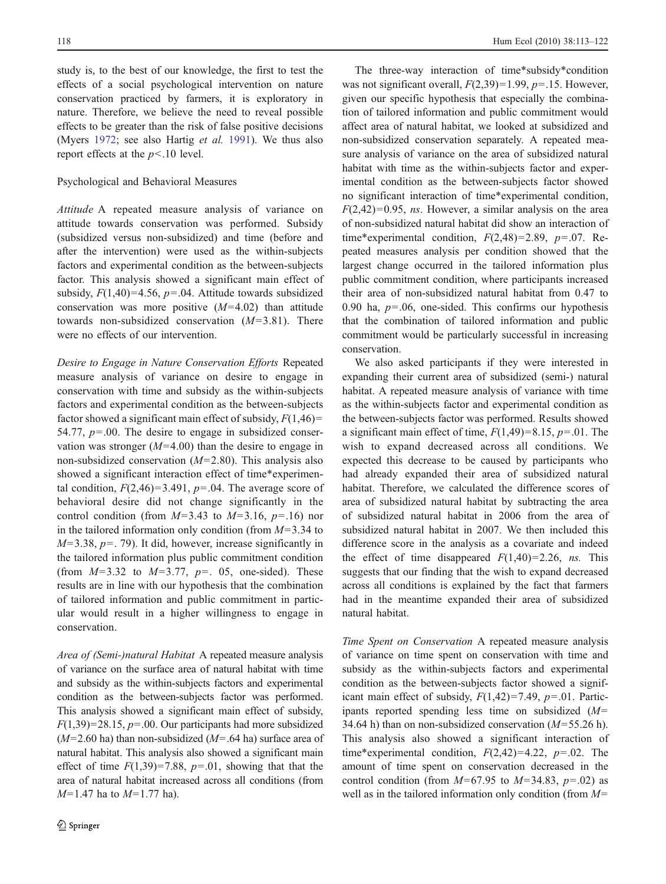study is, to the best of our knowledge, the first to test the effects of a social psychological intervention on nature conservation practiced by farmers, it is exploratory in nature. Therefore, we believe the need to reveal possible effects to be greater than the risk of false positive decisions (Myers [1972;](#page-9-0) see also Hartig et al. [1991\)](#page-8-0). We thus also report effects at the  $p<10$  level.

#### Psychological and Behavioral Measures

Attitude A repeated measure analysis of variance on attitude towards conservation was performed. Subsidy (subsidized versus non-subsidized) and time (before and after the intervention) were used as the within-subjects factors and experimental condition as the between-subjects factor. This analysis showed a significant main effect of subsidy,  $F(1,40)=4.56$ ,  $p=.04$ . Attitude towards subsidized conservation was more positive  $(M=4.02)$  than attitude towards non-subsidized conservation  $(M=3.81)$ . There were no effects of our intervention.

Desire to Engage in Nature Conservation Efforts Repeated measure analysis of variance on desire to engage in conservation with time and subsidy as the within-subjects factors and experimental condition as the between-subjects factor showed a significant main effect of subsidy,  $F(1,46)$ = 54.77,  $p=.00$ . The desire to engage in subsidized conservation was stronger  $(M=4.00)$  than the desire to engage in non-subsidized conservation  $(M=2.80)$ . This analysis also showed a significant interaction effect of time\*experimental condition,  $F(2,46)=3.491$ ,  $p=.04$ . The average score of behavioral desire did not change significantly in the control condition (from  $M=3.43$  to  $M=3.16$ ,  $p=.16$ ) nor in the tailored information only condition (from  $M=3.34$  to  $M=3.38$ ,  $p=$ . 79). It did, however, increase significantly in the tailored information plus public commitment condition (from  $M=3.32$  to  $M=3.77$ ,  $p=$ . 05, one-sided). These results are in line with our hypothesis that the combination of tailored information and public commitment in particular would result in a higher willingness to engage in conservation.

Area of (Semi-)natural Habitat A repeated measure analysis of variance on the surface area of natural habitat with time and subsidy as the within-subjects factors and experimental condition as the between-subjects factor was performed. This analysis showed a significant main effect of subsidy,  $F(1,39)=28.15, p=.00$ . Our participants had more subsidized  $(M=2.60 \text{ ha})$  than non-subsidized  $(M=0.64 \text{ ha})$  surface area of natural habitat. This analysis also showed a significant main effect of time  $F(1,39)=7.88$ ,  $p=.01$ , showing that that the area of natural habitat increased across all conditions (from  $M=1.47$  ha to  $M=1.77$  ha).

The three-way interaction of time\*subsidy\*condition was not significant overall,  $F(2,39)=1.99$ ,  $p=.15$ . However, given our specific hypothesis that especially the combination of tailored information and public commitment would affect area of natural habitat, we looked at subsidized and non-subsidized conservation separately. A repeated measure analysis of variance on the area of subsidized natural habitat with time as the within-subjects factor and experimental condition as the between-subjects factor showed no significant interaction of time\*experimental condition,  $F(2,42)=0.95$ , *ns.* However, a similar analysis on the area of non-subsidized natural habitat did show an interaction of time\*experimental condition,  $F(2,48)=2.89$ ,  $p=.07$ . Repeated measures analysis per condition showed that the largest change occurred in the tailored information plus public commitment condition, where participants increased their area of non-subsidized natural habitat from 0.47 to 0.90 ha,  $p=0.06$ , one-sided. This confirms our hypothesis that the combination of tailored information and public commitment would be particularly successful in increasing conservation.

We also asked participants if they were interested in expanding their current area of subsidized (semi-) natural habitat. A repeated measure analysis of variance with time as the within-subjects factor and experimental condition as the between-subjects factor was performed. Results showed a significant main effect of time,  $F(1,49)=8.15$ ,  $p=.01$ . The wish to expand decreased across all conditions. We expected this decrease to be caused by participants who had already expanded their area of subsidized natural habitat. Therefore, we calculated the difference scores of area of subsidized natural habitat by subtracting the area of subsidized natural habitat in 2006 from the area of subsidized natural habitat in 2007. We then included this difference score in the analysis as a covariate and indeed the effect of time disappeared  $F(1,40)=2.26$ , ns. This suggests that our finding that the wish to expand decreased across all conditions is explained by the fact that farmers had in the meantime expanded their area of subsidized natural habitat.

Time Spent on Conservation A repeated measure analysis of variance on time spent on conservation with time and subsidy as the within-subjects factors and experimental condition as the between-subjects factor showed a significant main effect of subsidy,  $F(1,42)=7.49$ ,  $p=.01$ . Participants reported spending less time on subsidized (M= 34.64 h) than on non-subsidized conservation  $(M=55.26 \text{ h})$ . This analysis also showed a significant interaction of time\*experimental condition,  $F(2,42)=4.22$ ,  $p=.02$ . The amount of time spent on conservation decreased in the control condition (from  $M=67.95$  to  $M=34.83$ ,  $p=.02$ ) as well as in the tailored information only condition (from  $M=$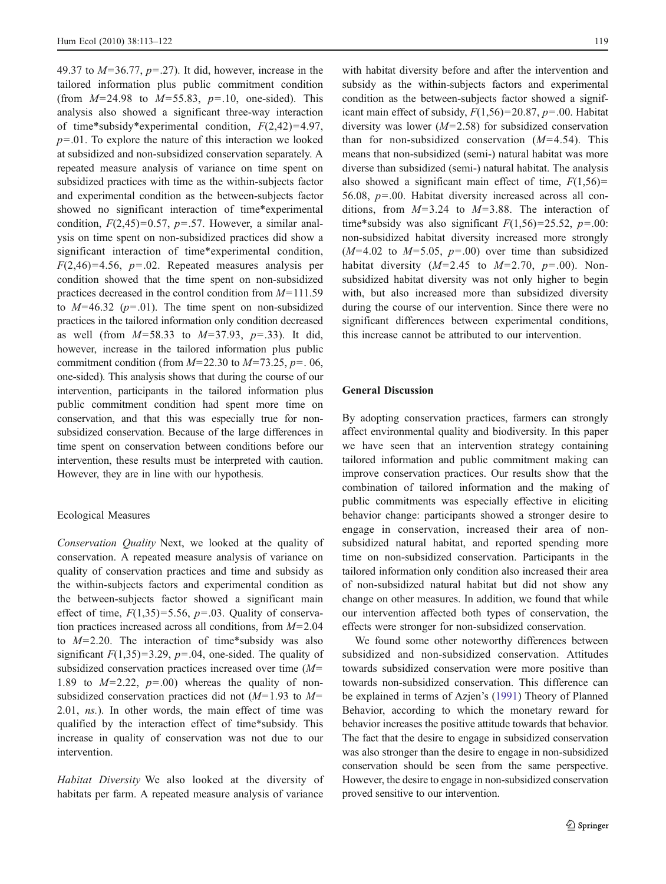49.37 to  $M=36.77$ ,  $p=.27$ ). It did, however, increase in the tailored information plus public commitment condition (from  $M=24.98$  to  $M=55.83$ ,  $p=.10$ , one-sided). This analysis also showed a significant three-way interaction of time\*subsidy\*experimental condition,  $F(2,42)=4.97$ ,  $p=0.01$ . To explore the nature of this interaction we looked at subsidized and non-subsidized conservation separately. A repeated measure analysis of variance on time spent on subsidized practices with time as the within-subjects factor and experimental condition as the between-subjects factor showed no significant interaction of time\*experimental condition,  $F(2,45)=0.57$ ,  $p=.57$ . However, a similar analysis on time spent on non-subsidized practices did show a significant interaction of time\*experimental condition,  $F(2,46)=4.56$ ,  $p=.02$ . Repeated measures analysis per condition showed that the time spent on non-subsidized practices decreased in the control condition from  $M=111.59$ to  $M=46.32$  ( $p=.01$ ). The time spent on non-subsidized practices in the tailored information only condition decreased as well (from  $M=58.33$  to  $M=37.93$ ,  $p=.33$ ). It did, however, increase in the tailored information plus public commitment condition (from  $M=22.30$  to  $M=73.25$ ,  $p=0.6$ , one-sided). This analysis shows that during the course of our intervention, participants in the tailored information plus public commitment condition had spent more time on conservation, and that this was especially true for nonsubsidized conservation. Because of the large differences in time spent on conservation between conditions before our intervention, these results must be interpreted with caution. However, they are in line with our hypothesis.

#### Ecological Measures

Conservation Quality Next, we looked at the quality of conservation. A repeated measure analysis of variance on quality of conservation practices and time and subsidy as the within-subjects factors and experimental condition as the between-subjects factor showed a significant main effect of time,  $F(1,35)=5.56$ ,  $p=.03$ . Quality of conservation practices increased across all conditions, from  $M=2.04$ to  $M=2.20$ . The interaction of time\*subsidy was also significant  $F(1,35)=3.29$ ,  $p=.04$ , one-sided. The quality of subsidized conservation practices increased over time (M= 1.89 to  $M=2.22$ ,  $p=.00$ ) whereas the quality of nonsubsidized conservation practices did not  $(M=1.93$  to  $M=$ 2.01, ns.). In other words, the main effect of time was qualified by the interaction effect of time\*subsidy. This increase in quality of conservation was not due to our intervention.

Habitat Diversity We also looked at the diversity of habitats per farm. A repeated measure analysis of variance

with habitat diversity before and after the intervention and subsidy as the within-subjects factors and experimental condition as the between-subjects factor showed a significant main effect of subsidy,  $F(1,56)=20.87$ ,  $p=.00$ . Habitat diversity was lower  $(M=2.58)$  for subsidized conservation than for non-subsidized conservation  $(M=4.54)$ . This means that non-subsidized (semi-) natural habitat was more diverse than subsidized (semi-) natural habitat. The analysis also showed a significant main effect of time,  $F(1,56)$ = 56.08,  $p = 0.00$ . Habitat diversity increased across all conditions, from  $M=3.24$  to  $M=3.88$ . The interaction of time\*subsidy was also significant  $F(1,56)=25.52$ ,  $p=.00$ : non-subsidized habitat diversity increased more strongly  $(M=4.02$  to  $M=5.05$ ,  $p=.00$  over time than subsidized habitat diversity  $(M=2.45$  to  $M=2.70$ ,  $p=.00$ ). Nonsubsidized habitat diversity was not only higher to begin with, but also increased more than subsidized diversity during the course of our intervention. Since there were no significant differences between experimental conditions, this increase cannot be attributed to our intervention.

## General Discussion

By adopting conservation practices, farmers can strongly affect environmental quality and biodiversity. In this paper we have seen that an intervention strategy containing tailored information and public commitment making can improve conservation practices. Our results show that the combination of tailored information and the making of public commitments was especially effective in eliciting behavior change: participants showed a stronger desire to engage in conservation, increased their area of nonsubsidized natural habitat, and reported spending more time on non-subsidized conservation. Participants in the tailored information only condition also increased their area of non-subsidized natural habitat but did not show any change on other measures. In addition, we found that while our intervention affected both types of conservation, the effects were stronger for non-subsidized conservation.

We found some other noteworthy differences between subsidized and non-subsidized conservation. Attitudes towards subsidized conservation were more positive than towards non-subsidized conservation. This difference can be explained in terms of Azjen's [\(1991](#page-8-0)) Theory of Planned Behavior, according to which the monetary reward for behavior increases the positive attitude towards that behavior. The fact that the desire to engage in subsidized conservation was also stronger than the desire to engage in non-subsidized conservation should be seen from the same perspective. However, the desire to engage in non-subsidized conservation proved sensitive to our intervention.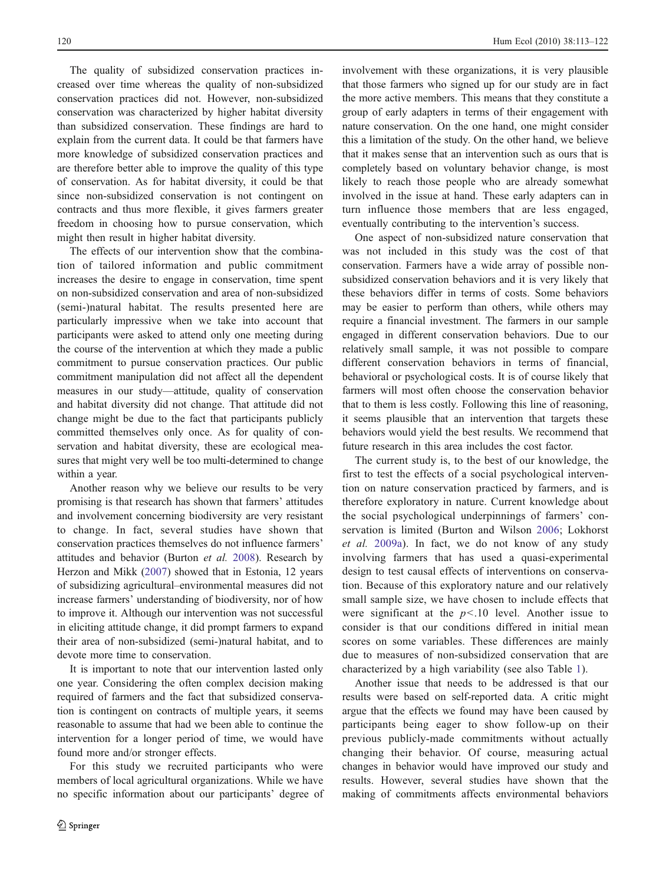The quality of subsidized conservation practices increased over time whereas the quality of non-subsidized conservation practices did not. However, non-subsidized conservation was characterized by higher habitat diversity than subsidized conservation. These findings are hard to explain from the current data. It could be that farmers have more knowledge of subsidized conservation practices and are therefore better able to improve the quality of this type of conservation. As for habitat diversity, it could be that since non-subsidized conservation is not contingent on contracts and thus more flexible, it gives farmers greater freedom in choosing how to pursue conservation, which might then result in higher habitat diversity.

The effects of our intervention show that the combination of tailored information and public commitment increases the desire to engage in conservation, time spent on non-subsidized conservation and area of non-subsidized (semi-)natural habitat. The results presented here are particularly impressive when we take into account that participants were asked to attend only one meeting during the course of the intervention at which they made a public commitment to pursue conservation practices. Our public commitment manipulation did not affect all the dependent measures in our study—attitude, quality of conservation and habitat diversity did not change. That attitude did not change might be due to the fact that participants publicly committed themselves only once. As for quality of conservation and habitat diversity, these are ecological measures that might very well be too multi-determined to change within a year.

Another reason why we believe our results to be very promising is that research has shown that farmers' attitudes and involvement concerning biodiversity are very resistant to change. In fact, several studies have shown that conservation practices themselves do not influence farmers' attitudes and behavior (Burton et al. [2008](#page-8-0)). Research by Herzon and Mikk ([2007](#page-8-0)) showed that in Estonia, 12 years of subsidizing agricultural–environmental measures did not increase farmers' understanding of biodiversity, nor of how to improve it. Although our intervention was not successful in eliciting attitude change, it did prompt farmers to expand their area of non-subsidized (semi-)natural habitat, and to devote more time to conservation.

It is important to note that our intervention lasted only one year. Considering the often complex decision making required of farmers and the fact that subsidized conservation is contingent on contracts of multiple years, it seems reasonable to assume that had we been able to continue the intervention for a longer period of time, we would have found more and/or stronger effects.

For this study we recruited participants who were members of local agricultural organizations. While we have no specific information about our participants' degree of involvement with these organizations, it is very plausible that those farmers who signed up for our study are in fact the more active members. This means that they constitute a group of early adapters in terms of their engagement with nature conservation. On the one hand, one might consider this a limitation of the study. On the other hand, we believe that it makes sense that an intervention such as ours that is completely based on voluntary behavior change, is most likely to reach those people who are already somewhat involved in the issue at hand. These early adapters can in turn influence those members that are less engaged, eventually contributing to the intervention's success.

One aspect of non-subsidized nature conservation that was not included in this study was the cost of that conservation. Farmers have a wide array of possible nonsubsidized conservation behaviors and it is very likely that these behaviors differ in terms of costs. Some behaviors may be easier to perform than others, while others may require a financial investment. The farmers in our sample engaged in different conservation behaviors. Due to our relatively small sample, it was not possible to compare different conservation behaviors in terms of financial, behavioral or psychological costs. It is of course likely that farmers will most often choose the conservation behavior that to them is less costly. Following this line of reasoning, it seems plausible that an intervention that targets these behaviors would yield the best results. We recommend that future research in this area includes the cost factor.

The current study is, to the best of our knowledge, the first to test the effects of a social psychological intervention on nature conservation practiced by farmers, and is therefore exploratory in nature. Current knowledge about the social psychological underpinnings of farmers' conservation is limited (Burton and Wilson [2006;](#page-8-0) Lokhorst et al. [2009a\)](#page-8-0). In fact, we do not know of any study involving farmers that has used a quasi-experimental design to test causal effects of interventions on conservation. Because of this exploratory nature and our relatively small sample size, we have chosen to include effects that were significant at the  $p<10$  level. Another issue to consider is that our conditions differed in initial mean scores on some variables. These differences are mainly due to measures of non-subsidized conservation that are characterized by a high variability (see also Table [1](#page-4-0)).

Another issue that needs to be addressed is that our results were based on self-reported data. A critic might argue that the effects we found may have been caused by participants being eager to show follow-up on their previous publicly-made commitments without actually changing their behavior. Of course, measuring actual changes in behavior would have improved our study and results. However, several studies have shown that the making of commitments affects environmental behaviors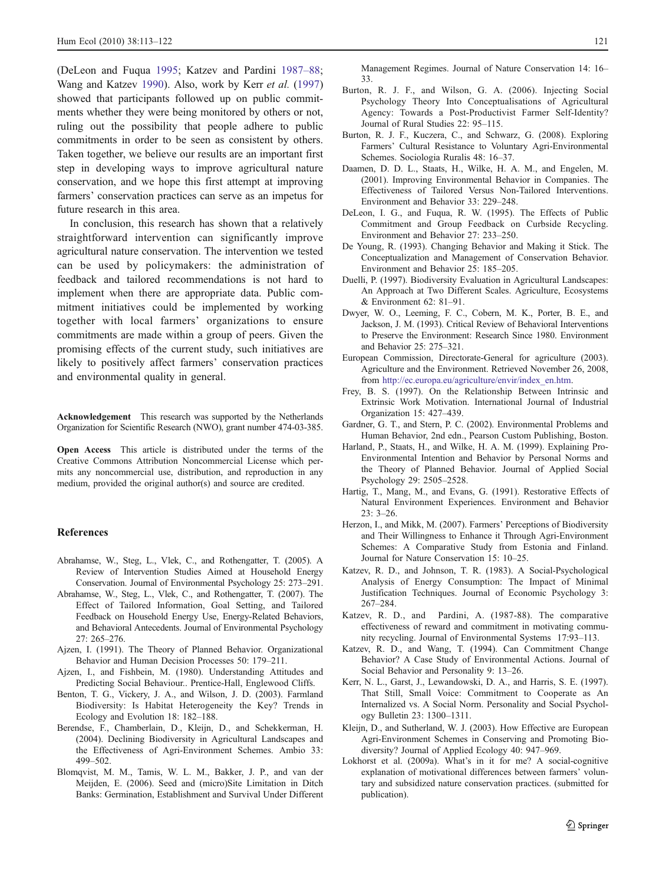<span id="page-8-0"></span>(DeLeon and Fuqua 1995; Katzev and Pardini 1987–88; Wang and Katzev [1990\)](#page-9-0). Also, work by Kerr et al. (1997) showed that participants followed up on public commitments whether they were being monitored by others or not, ruling out the possibility that people adhere to public commitments in order to be seen as consistent by others. Taken together, we believe our results are an important first step in developing ways to improve agricultural nature conservation, and we hope this first attempt at improving farmers' conservation practices can serve as an impetus for future research in this area.

In conclusion, this research has shown that a relatively straightforward intervention can significantly improve agricultural nature conservation. The intervention we tested can be used by policymakers: the administration of feedback and tailored recommendations is not hard to implement when there are appropriate data. Public commitment initiatives could be implemented by working together with local farmers' organizations to ensure commitments are made within a group of peers. Given the promising effects of the current study, such initiatives are likely to positively affect farmers' conservation practices and environmental quality in general.

Acknowledgement This research was supported by the Netherlands Organization for Scientific Research (NWO), grant number 474-03-385.

Open Access This article is distributed under the terms of the Creative Commons Attribution Noncommercial License which permits any noncommercial use, distribution, and reproduction in any medium, provided the original author(s) and source are credited.

#### References

- Abrahamse, W., Steg, L., Vlek, C., and Rothengatter, T. (2005). A Review of Intervention Studies Aimed at Household Energy Conservation. Journal of Environmental Psychology 25: 273–291.
- Abrahamse, W., Steg, L., Vlek, C., and Rothengatter, T. (2007). The Effect of Tailored Information, Goal Setting, and Tailored Feedback on Household Energy Use, Energy-Related Behaviors, and Behavioral Antecedents. Journal of Environmental Psychology 27: 265–276.
- Ajzen, I. (1991). The Theory of Planned Behavior. Organizational Behavior and Human Decision Processes 50: 179–211.
- Ajzen, I., and Fishbein, M. (1980). Understanding Attitudes and Predicting Social Behaviour.. Prentice-Hall, Englewood Cliffs.
- Benton, T. G., Vickery, J. A., and Wilson, J. D. (2003). Farmland Biodiversity: Is Habitat Heterogeneity the Key? Trends in Ecology and Evolution 18: 182–188.
- Berendse, F., Chamberlain, D., Kleijn, D., and Schekkerman, H. (2004). Declining Biodiversity in Agricultural Landscapes and the Effectiveness of Agri-Environment Schemes. Ambio 33: 499–502.
- Blomqvist, M. M., Tamis, W. L. M., Bakker, J. P., and van der Meijden, E. (2006). Seed and (micro)Site Limitation in Ditch Banks: Germination, Establishment and Survival Under Different

Management Regimes. Journal of Nature Conservation 14: 16– 33.

- Burton, R. J. F., and Wilson, G. A. (2006). Injecting Social Psychology Theory Into Conceptualisations of Agricultural Agency: Towards a Post-Productivist Farmer Self-Identity? Journal of Rural Studies 22: 95–115.
- Burton, R. J. F., Kuczera, C., and Schwarz, G. (2008). Exploring Farmers' Cultural Resistance to Voluntary Agri-Environmental Schemes. Sociologia Ruralis 48: 16–37.
- Daamen, D. D. L., Staats, H., Wilke, H. A. M., and Engelen, M. (2001). Improving Environmental Behavior in Companies. The Effectiveness of Tailored Versus Non-Tailored Interventions. Environment and Behavior 33: 229–248.
- DeLeon, I. G., and Fuqua, R. W. (1995). The Effects of Public Commitment and Group Feedback on Curbside Recycling. Environment and Behavior 27: 233–250.
- De Young, R. (1993). Changing Behavior and Making it Stick. The Conceptualization and Management of Conservation Behavior. Environment and Behavior 25: 185–205.
- Duelli, P. (1997). Biodiversity Evaluation in Agricultural Landscapes: An Approach at Two Different Scales. Agriculture, Ecosystems & Environment 62: 81–91.
- Dwyer, W. O., Leeming, F. C., Cobern, M. K., Porter, B. E., and Jackson, J. M. (1993). Critical Review of Behavioral Interventions to Preserve the Environment: Research Since 1980. Environment and Behavior 25: 275–321.
- European Commission, Directorate-General for agriculture (2003). Agriculture and the Environment. Retrieved November 26, 2008, from [http://ec.europa.eu/agriculture/envir/index\\_en.htm.](http://ec.europa.eu/agriculture/envir/index_en.htm)
- Frey, B. S. (1997). On the Relationship Between Intrinsic and Extrinsic Work Motivation. International Journal of Industrial Organization 15: 427–439.
- Gardner, G. T., and Stern, P. C. (2002). Environmental Problems and Human Behavior, 2nd edn., Pearson Custom Publishing, Boston.
- Harland, P., Staats, H., and Wilke, H. A. M. (1999). Explaining Pro-Environmental Intention and Behavior by Personal Norms and the Theory of Planned Behavior. Journal of Applied Social Psychology 29: 2505–2528.
- Hartig, T., Mang, M., and Evans, G. (1991). Restorative Effects of Natural Environment Experiences. Environment and Behavior 23: 3–26.
- Herzon, I., and Mikk, M. (2007). Farmers' Perceptions of Biodiversity and Their Willingness to Enhance it Through Agri-Environment Schemes: A Comparative Study from Estonia and Finland. Journal for Nature Conservation 15: 10–25.
- Katzev, R. D., and Johnson, T. R. (1983). A Social-Psychological Analysis of Energy Consumption: The Impact of Minimal Justification Techniques. Journal of Economic Psychology 3: 267–284.
- Katzev, R. D., and Pardini, A. (1987-88). The comparative effectiveness of reward and commitment in motivating community recycling. Journal of Environmental Systems 17:93–113.
- Katzev, R. D., and Wang, T. (1994). Can Commitment Change Behavior? A Case Study of Environmental Actions. Journal of Social Behavior and Personality 9: 13–26.
- Kerr, N. L., Garst, J., Lewandowski, D. A., and Harris, S. E. (1997). That Still, Small Voice: Commitment to Cooperate as An Internalized vs. A Social Norm. Personality and Social Psychology Bulletin 23: 1300–1311.
- Kleijn, D., and Sutherland, W. J. (2003). How Effective are European Agri-Environment Schemes in Conserving and Promoting Biodiversity? Journal of Applied Ecology 40: 947–969.
- Lokhorst et al. (2009a). What's in it for me? A social-cognitive explanation of motivational differences between farmers' voluntary and subsidized nature conservation practices. (submitted for publication).